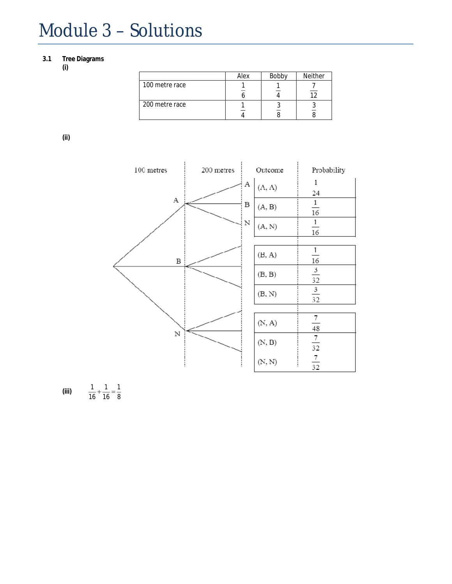## Module 3 – Solutions

## **3.1 Tree Diagrams**

**(i)**

|                | Alex | Bobby | <b>Neither</b> |
|----------------|------|-------|----------------|
| 100 metre race |      |       |                |
| 200 metre race |      |       |                |

**(ii)**



(iii)  $\frac{1}{16} + \frac{1}{16} = \frac{1}{8}$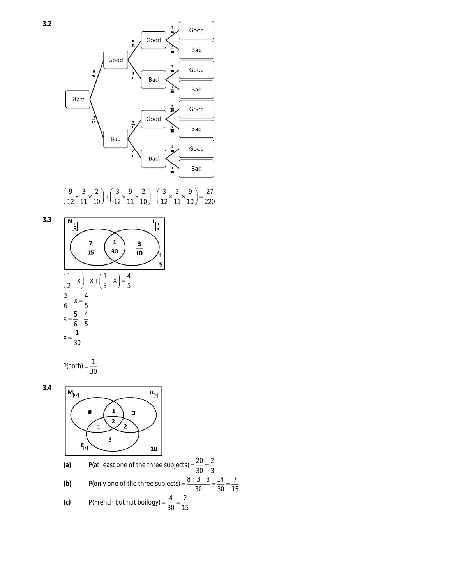